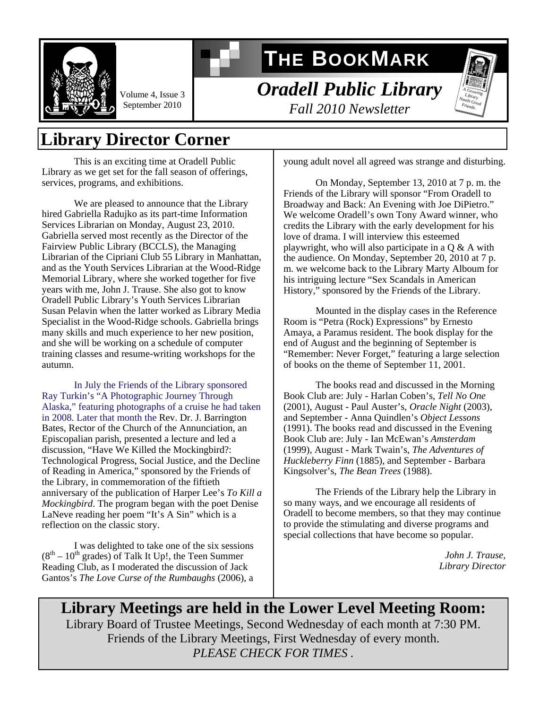

Volume 4, Issue 3 September 2010

# **THE BOOKMARK**

*Oradell Public Library Fall 2010 Newsletter* 



### **Library Director Corner**

 This is an exciting time at Oradell Public Library as we get set for the fall season of offerings, services, programs, and exhibitions.

 We are pleased to announce that the Library hired Gabriella Radujko as its part-time Information Services Librarian on Monday, August 23, 2010. Gabriella served most recently as the Director of the Fairview Public Library (BCCLS), the Managing Librarian of the Cipriani Club 55 Library in Manhattan, and as the Youth Services Librarian at the Wood-Ridge Memorial Library, where she worked together for five years with me, John J. Trause. She also got to know Oradell Public Library's Youth Services Librarian Susan Pelavin when the latter worked as Library Media Specialist in the Wood-Ridge schools. Gabriella brings many skills and much experience to her new position, and she will be working on a schedule of computer training classes and resume-writing workshops for the autumn.

In July the Friends of the Library sponsored Ray Turkin's "A Photographic Journey Through Alaska," featuring photographs of a cruise he had taken in 2008. Later that month the Rev. Dr. J. Barrington Bates, Rector of the Church of the Annunciation, an Episcopalian parish, presented a lecture and led a discussion, "Have We Killed the Mockingbird?: Technological Progress, Social Justice, and the Decline of Reading in America," sponsored by the Friends of the Library, in commemoration of the fiftieth anniversary of the publication of Harper Lee's *To Kill a Mockingbird*. The program began with the poet Denise LaNeve reading her poem "It's A Sin" which is a reflection on the classic story.

 I was delighted to take one of the six sessions  $(8<sup>th</sup> – 10<sup>th</sup>$  grades) of Talk It Up!, the Teen Summer Reading Club, as I moderated the discussion of Jack Gantos's *The Love Curse of the Rumbaughs* (2006), a young adult novel all agreed was strange and disturbing.

 On Monday, September 13, 2010 at 7 p. m. the Friends of the Library will sponsor "From Oradell to Broadway and Back: An Evening with Joe DiPietro." We welcome Oradell's own Tony Award winner, who credits the Library with the early development for his love of drama. I will interview this esteemed playwright, who will also participate in a Q & A with the audience. On Monday, September 20, 2010 at 7 p. m. we welcome back to the Library Marty Alboum for his intriguing lecture "Sex Scandals in American History," sponsored by the Friends of the Library.

 Mounted in the display cases in the Reference Room is "Petra (Rock) Expressions" by Ernesto Amaya, a Paramus resident. The book display for the end of August and the beginning of September is "Remember: Never Forget," featuring a large selection of books on the theme of September 11, 2001.

 The books read and discussed in the Morning Book Club are: July - Harlan Coben's, *Tell No One* (2001), August - Paul Auster's, *Oracle Night* (2003), and September - Anna Quindlen's *Object Lessons* (1991). The books read and discussed in the Evening Book Club are: July - Ian McEwan's *Amsterdam* (1999), August - Mark Twain's, *The Adventures of Huckleberry Finn* (1885), and September - Barbara Kingsolver's, *The Bean Trees* (1988).

 The Friends of the Library help the Library in so many ways, and we encourage all residents of Oradell to become members, so that they may continue to provide the stimulating and diverse programs and special collections that have become so popular.

> *John J. Trause, Library Director*

**Library Meetings are held in the Lower Level Meeting Room:**  Library Board of Trustee Meetings, Second Wednesday of each month at 7:30 PM. Friends of the Library Meetings, First Wednesday of every month. *PLEASE CHECK FOR TIMES .*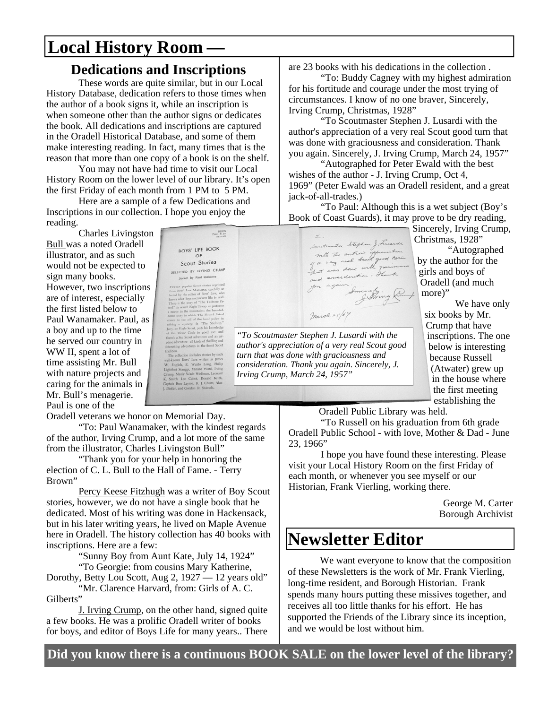## **Local History Room** *—*

#### **Dedications and Inscriptions**

 These words are quite similar, but in our Local History Database, dedication refers to those times when the author of a book signs it, while an inscription is when someone other than the author signs or dedicates the book. All dedications and inscriptions are captured in the Oradell Historical Database, and some of them make interesting reading. In fact, many times that is the reason that more than one copy of a book is on the shelf.

 You may not have had time to visit our Local History Room on the lower level of our library. It's open the first Friday of each month from 1 PM to 5 PM.

 Here are a sample of a few Dedications and Inscriptions in our collection. I hope you enjoy the reading.

 Charles Livingston Bull was a noted Oradell illustrator, and as such would not be expected to sign many books. However, two inscriptions are of interest, especially the first listed below to Paul Wanamaker. Paul, as a boy and up to the time he served our country in WW II, spent a lot of time assisting Mr. Bull with nature projects and caring for the animals in Mr. Bull's menagerie. Paul is one of the

*"To Scoutmaster Stephen J. Lusardi with the author's appreciation of a very real Scout good turn that was done with graciousness and*  The coinceston invisions stocks so the<br>melhood Boys' Larg writers as James<br>Faliphtoot Serangs, Millard Ward, Trying<br>Hidrot Serangs, Millard Ward, Trying<br>Smith, Leo Cabot, Donald Keith,<br>Aini Burr Leyson, B. J. Chiuet, Alan<br> *consideration. Thank you again. Sincerely, J. Irving Crump, March 24, 1957"* 

BLESS<br>Price, \$1.50

BOYS' LIFE BOOK Scout Stories SELECTED BY IRVING CRUMP

Oradell veterans we honor on Memorial Day.

 "To: Paul Wanamaker, with the kindest regards of the author, Irving Crump, and a lot more of the same from the illustrator, Charles Livingston Bull"

 "Thank you for your help in honoring the election of C. L. Bull to the Hall of Fame. - Terry Brown"

 Percy Keese Fitzhugh was a writer of Boy Scout stories, however, we do not have a single book that he dedicated. Most of his writing was done in Hackensack, but in his later writing years, he lived on Maple Avenue here in Oradell. The history collection has 40 books with inscriptions. Here are a few:

"Sunny Boy from Aunt Kate, July 14, 1924"

 "To Georgie: from cousins Mary Katherine, Dorothy, Betty Lou Scott, Aug 2, 1927 — 12 years old" "Mr. Clarence Harvard, from: Girls of A. C.

Gilberts"

 J. Irving Crump, on the other hand, signed quite a few books. He was a prolific Oradell writer of books for boys, and editor of Boys Life for many years.. There

are 23 books with his dedications in the collection .

 "To: Buddy Cagney with my highest admiration for his fortitude and courage under the most trying of circumstances. I know of no one braver, Sincerely, Irving Crump, Christmas, 1928"

 "To Scoutmaster Stephen J. Lusardi with the author's appreciation of a very real Scout good turn that was done with graciousness and consideration. Thank you again. Sincerely, J. Irving Crump, March 24, 1957"

 "Autographed for Peter Ewald with the best wishes of the author - J. Irving Crump, Oct 4, 1969" (Peter Ewald was an Oradell resident, and a great jack-of-all-trades.)

 "To Paul: Although this is a wet subject (Boy's Book of Coast Guards), it may prove to be dry reading,

Sincerely, Irving Crump, Christmas, 1928" Secutionantes Stephen J. Lucardi Sentmarter stephen forecaster "Autographed by the author for the hat was done with parious girls and boys of and anniversion. There Oradell (and much

more)" We have only six books by Mr. Crump that have inscriptions. The one below is interesting because Russell (Atwater) grew up in the house where the first meeting establishing the

Oradell Public Library was held.

March 24/57

 "To Russell on his graduation from 6th grade Oradell Public School - with love, Mother & Dad - June 23, 1966"

 I hope you have found these interesting. Please visit your Local History Room on the first Friday of each month, or whenever you see myself or our Historian, Frank Vierling, working there.

> George M. Carter Borough Archivist

### **Newsletter Editor**

 We want everyone to know that the composition of these Newsletters is the work of Mr. Frank Vierling, long-time resident, and Borough Historian. Frank spends many hours putting these missives together, and receives all too little thanks for his effort. He has supported the Friends of the Library since its inception, and we would be lost without him.

**Did you know there is a continuous BOOK SALE on the lower level of the library?**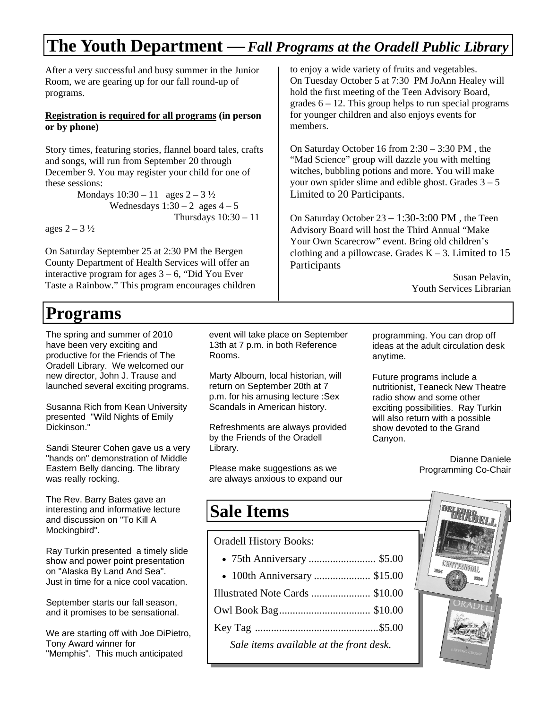## **The Youth Department —***Fall Programs at the Oradell Public Library*

After a very successful and busy summer in the Junior Room, we are gearing up for our fall round-up of programs.

#### **Registration is required for all programs (in person or by phone)**

Story times, featuring stories, flannel board tales, crafts and songs, will run from September 20 through December 9. You may register your child for one of these sessions:

> Mondays  $10:30 - 11$  ages  $2 - 3\frac{1}{2}$ Wednesdays  $1:30 - 2$  ages  $4 - 5$ Thursdays  $10:30 - 11$

ages  $2 - 3\frac{1}{2}$ 

On Saturday September 25 at 2:30 PM the Bergen County Department of Health Services will offer an interactive program for ages  $3 - 6$ , "Did You Ever Taste a Rainbow." This program encourages children

## **Programs**

The spring and summer of 2010 have been very exciting and productive for the Friends of The Oradell Library. We welcomed our new director, John J. Trause and launched several exciting programs.

Susanna Rich from Kean University presented "Wild Nights of Emily Dickinson."

Sandi Steurer Cohen gave us a very "hands on" demonstration of Middle Eastern Belly dancing. The library was really rocking.

The Rev. Barry Bates gave an interesting and informative lecture and discussion on "To Kill A Mockingbird".

Ray Turkin presented a timely slide show and power point presentation on "Alaska By Land And Sea". Just in time for a nice cool vacation.

September starts our fall season, and it promises to be sensational.

We are starting off with Joe DiPietro, Tony Award winner for "Memphis". This much anticipated

event will take place on September 13th at 7 p.m. in both Reference Rooms.

Marty Alboum, local historian, will return on September 20th at 7 p.m. for his amusing lecture :Sex Scandals in American history.

Refreshments are always provided by the Friends of the Oradell Library.

Please make suggestions as we are always anxious to expand our

to enjoy a wide variety of fruits and vegetables. On Tuesday October 5 at 7:30 PM JoAnn Healey will hold the first meeting of the Teen Advisory Board, grades  $6 - 12$ . This group helps to run special programs for younger children and also enjoys events for members.

On Saturday October 16 from 2:30 – 3:30 PM , the "Mad Science" group will dazzle you with melting witches, bubbling potions and more. You will make your own spider slime and edible ghost. Grades  $3 - 5$ Limited to 20 Participants.

On Saturday October 23 – 1:30-3:00 PM , the Teen Advisory Board will host the Third Annual "Make Your Own Scarecrow" event. Bring old children's clothing and a pillowcase. Grades  $K - 3$ . Limited to 15 Participants

> Susan Pelavin, Youth Services Librarian

programming. You can drop off ideas at the adult circulation desk anytime.

Future programs include a nutritionist, Teaneck New Theatre radio show and some other exciting possibilities. Ray Turkin will also return with a possible show devoted to the Grand Canyon.

> Dianne Daniele Programming Co-Chair

#### **Sale Items**

Oradell History Books:

- 75th Anniversary ......................... \$5.00
- 100th Anniversary ..................... \$15.00
- Illustrated Note Cards ...................... \$10.00
- Owl Book Bag .................................. \$10.00
- Key Tag .............................................. \$5.00 *Sale items available at the front desk.*